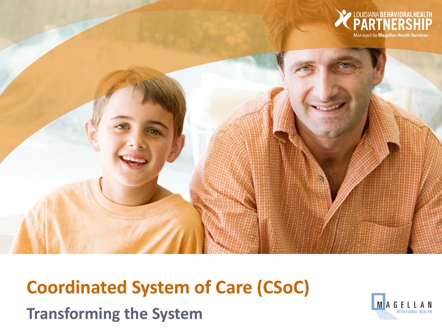

# **Coordinated System of Care (CSoC) Transforming the System**

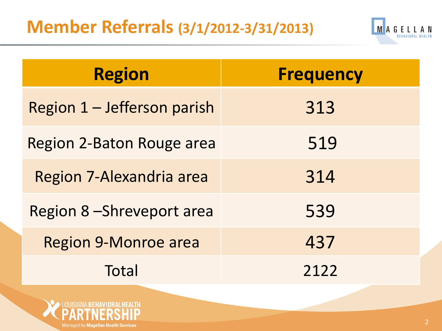### **Member Referrals (3/1/2012-3/31/2013)**



| <b>Region</b>               | <b>Frequency</b> |
|-----------------------------|------------------|
| Region 1 – Jefferson parish | 313              |
| Region 2-Baton Rouge area   | 519              |
| Region 7-Alexandria area    | 314              |
| Region 8-Shreveport area    | 539              |
| <b>Region 9-Monroe area</b> | 437              |
| Total                       | 2122             |

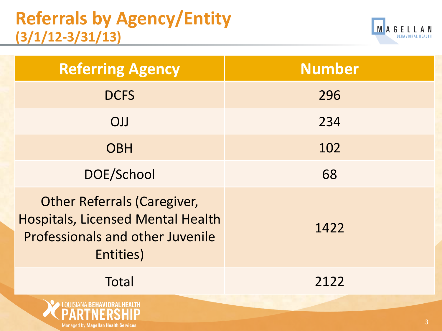### **Referrals by Agency/Entity (3/1/12-3/31/13)**

Managed by Magellan Health Services



| <b>Referring Agency</b>                                                                                                                | <b>Number</b> |
|----------------------------------------------------------------------------------------------------------------------------------------|---------------|
| <b>DCFS</b>                                                                                                                            | 296           |
| <b>OJJ</b>                                                                                                                             | 234           |
| <b>OBH</b>                                                                                                                             | 102           |
| DOE/School                                                                                                                             | 68            |
| <b>Other Referrals (Caregiver,</b><br><b>Hospitals, Licensed Mental Health</b><br><b>Professionals and other Juvenile</b><br>Entities) | 1422          |
| Total                                                                                                                                  | 2122          |
|                                                                                                                                        |               |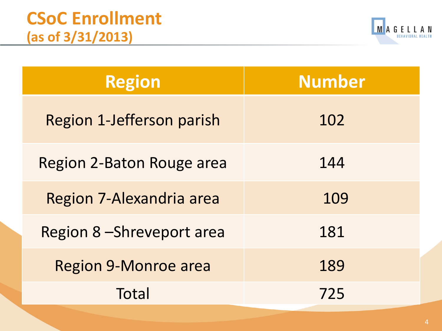

| <b>Region</b>                    | <b>Number</b> |  |  |
|----------------------------------|---------------|--|--|
| <b>Region 1-Jefferson parish</b> | 102           |  |  |
| Region 2-Baton Rouge area        | 144           |  |  |
| Region 7-Alexandria area         | 109           |  |  |
| Region 8-Shreveport area         | 181           |  |  |
| <b>Region 9-Monroe area</b>      | 189           |  |  |
| Total                            | 725           |  |  |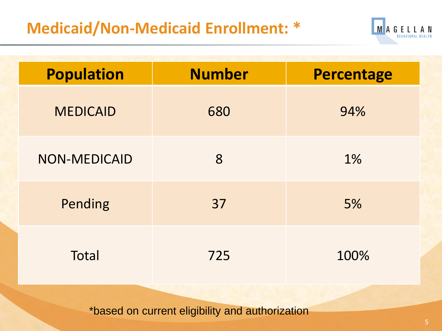#### **Medicaid/Non-Medicaid Enrollment: \***



| <b>Population</b> | <b>Number</b> | <b>Percentage</b> |
|-------------------|---------------|-------------------|
| <b>MEDICAID</b>   | 680           | 94%               |
| NON-MEDICAID      | 8             | 1%                |
| Pending           | 37            | 5%                |
| Total             | 725           | 100%              |

\*based on current eligibility and authorization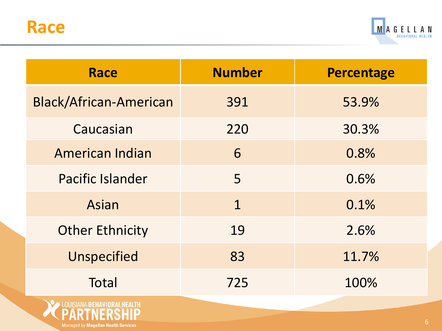Managed by Magellan Health Services



| <b>Race</b>                   | <b>Number</b> | <b>Percentage</b> |
|-------------------------------|---------------|-------------------|
| <b>Black/African-American</b> | 391           | 53.9%             |
| Caucasian                     | 220           | 30.3%             |
| <b>American Indian</b>        | 6             | 0.8%              |
| <b>Pacific Islander</b>       | 5             | 0.6%              |
| Asian                         | $\mathbf 1$   | 0.1%              |
| <b>Other Ethnicity</b>        | 19            | 2.6%              |
| <b>Unspecified</b>            | 83            | 11.7%             |
| <b>Total</b>                  | 725           | 100%              |
|                               |               |                   |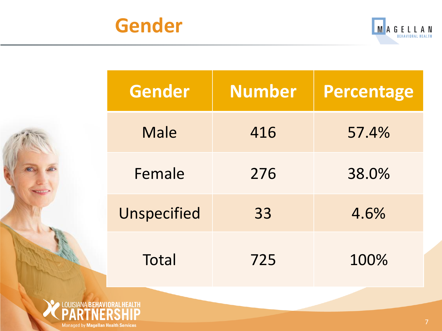



| <b>Gender</b> | <b>Number</b> | <b>Percentage</b> |
|---------------|---------------|-------------------|
| <b>Male</b>   | 416           | 57.4%             |
| Female        | 276           | 38.0%             |
| Unspecified   | 33            | 4.6%              |
| Total         | 725           | 100%              |

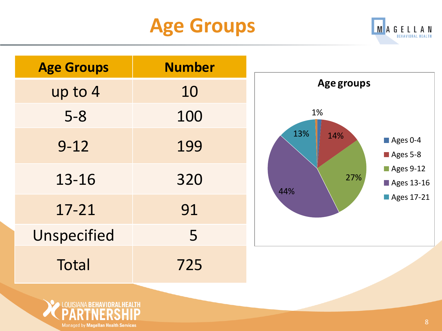## **Age Groups**



| <b>Age Groups</b> | <b>Number</b> |
|-------------------|---------------|
| up to 4           | 10            |
| $5 - 8$           | 100           |
| $9 - 12$          | 199           |
| 13-16             | 320           |
| $17 - 21$         | 91            |
| Unspecified       | 5             |
| <b>Total</b>      | 725           |



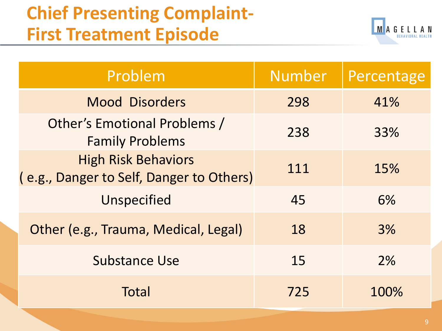## **Chief Presenting Complaint-First Treatment Episode**



| Problem                                                                | <b>Number</b> | Percentage |
|------------------------------------------------------------------------|---------------|------------|
| <b>Mood Disorders</b>                                                  | 298           | 41%        |
| Other's Emotional Problems /<br><b>Family Problems</b>                 | 238           | 33%        |
| <b>High Risk Behaviors</b><br>(e.g., Danger to Self, Danger to Others) | 111           | 15%        |
| Unspecified                                                            | 45            | 6%         |
| Other (e.g., Trauma, Medical, Legal)                                   | 18            | 3%         |
| <b>Substance Use</b>                                                   | 15            | 2%         |
| Total                                                                  | 725           | 100%       |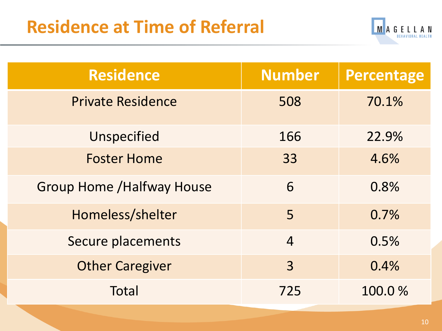

| <b>Residence</b>                  | <b>Number</b>  | Percentage |
|-----------------------------------|----------------|------------|
| <b>Private Residence</b>          | 508            | 70.1%      |
| Unspecified                       | 166            | 22.9%      |
| <b>Foster Home</b>                | 33             | 4.6%       |
| <b>Group Home / Halfway House</b> | 6              | 0.8%       |
| Homeless/shelter                  | 5              | 0.7%       |
| Secure placements                 | $\overline{4}$ | 0.5%       |
| <b>Other Caregiver</b>            | 3              | 0.4%       |
| Total                             | 725            | 100.0%     |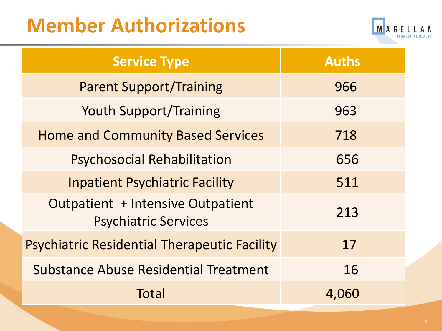## **Member Authorizations**



| <b>Service Type</b>                                                     | <b>Auths</b> |
|-------------------------------------------------------------------------|--------------|
| <b>Parent Support/Training</b>                                          | 966          |
| <b>Youth Support/Training</b>                                           | 963          |
| <b>Home and Community Based Services</b>                                | 718          |
| <b>Psychosocial Rehabilitation</b>                                      | 656          |
| <b>Inpatient Psychiatric Facility</b>                                   | 511          |
| <b>Outpatient + Intensive Outpatient</b><br><b>Psychiatric Services</b> | 213          |
| <b>Psychiatric Residential Therapeutic Facility</b>                     | 17           |
| <b>Substance Abuse Residential Treatment</b>                            | 16           |
| Total                                                                   | 4,060        |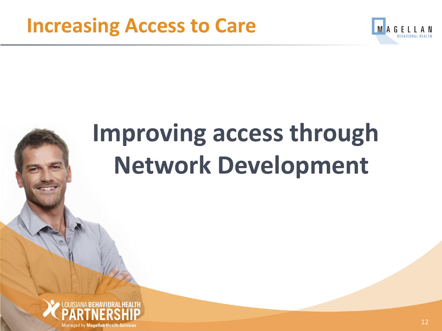

# **Improving access through Network Development**

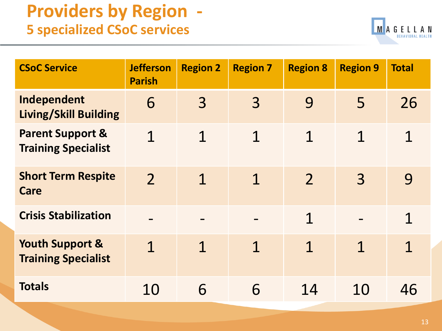#### **Providers by Region - 5 specialized CSoC services**



| <b>CSoC Service</b>                                       | <b>Jefferson</b><br><b>Parish</b> | <b>Region 2</b> | <b>Region 7</b> | <b>Region 8</b> | <b>Region 9</b> | <b>Total</b>   |
|-----------------------------------------------------------|-----------------------------------|-----------------|-----------------|-----------------|-----------------|----------------|
| Independent<br><b>Living/Skill Building</b>               | 6                                 | 3               | $\overline{3}$  | 9               | 5               | 26             |
| <b>Parent Support &amp;</b><br><b>Training Specialist</b> | 1                                 | 1               | 1               | 1               | $\mathbf 1$     | $\overline{1}$ |
| <b>Short Term Respite</b><br>Care                         | $\overline{2}$                    | $\mathbf 1$     | $\mathbf 1$     | $\overline{2}$  | $\overline{3}$  | 9              |
| <b>Crisis Stabilization</b>                               |                                   |                 |                 | 1               |                 | 1              |
| <b>Youth Support &amp;</b><br><b>Training Specialist</b>  | $\mathbf 1$                       | 1               | 1               | 1               | 1               | 1              |
| <b>Totals</b>                                             | 10                                | 6               | 6               | 14              | 10              | 46             |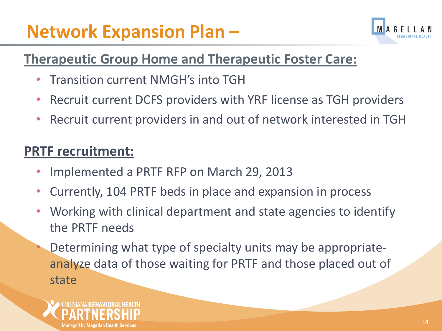## **Network Expansion Plan –**



#### **Therapeutic Group Home and Therapeutic Foster Care:**

- Transition current NMGH's into TGH
- Recruit current DCFS providers with YRF license as TGH providers
- Recruit current providers in and out of network interested in TGH

#### **PRTF recruitment:**

- Implemented a PRTF RFP on March 29, 2013
- Currently, 104 PRTF beds in place and expansion in process
- Working with clinical department and state agencies to identify the PRTF needs
	- Determining what type of specialty units may be appropriateanalyze data of those waiting for PRTF and those placed out of state

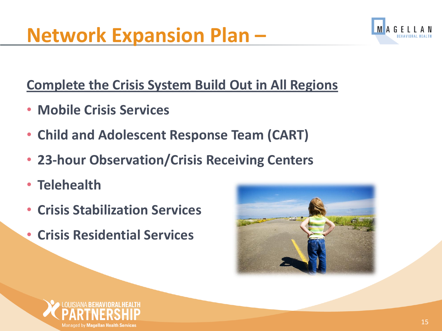

#### **Complete the Crisis System Build Out in All Regions**

- **Mobile Crisis Services**
- **Child and Adolescent Response Team (CART)**
- **23-hour Observation/Crisis Receiving Centers**
- **Telehealth**
- **Crisis Stabilization Services**
- **Crisis Residential Services**



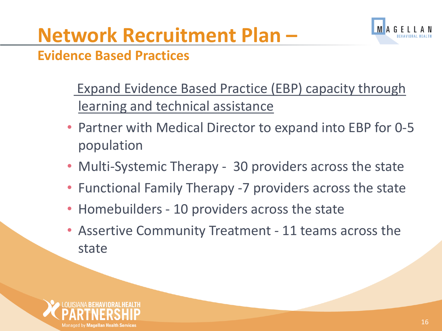## **Network Recruitment Plan –**



#### **Evidence Based Practices**

- Expand Evidence Based Practice (EBP) capacity through learning and technical assistance
- Partner with Medical Director to expand into EBP for 0-5 population
- Multi-Systemic Therapy 30 providers across the state
- Functional Family Therapy -7 providers across the state
- Homebuilders 10 providers across the state
- Assertive Community Treatment 11 teams across the state

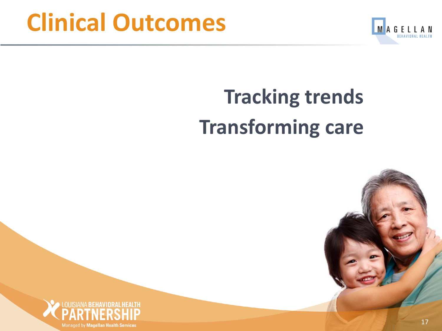## **Clinical Outcomes**



## **Tracking trends Transforming care**



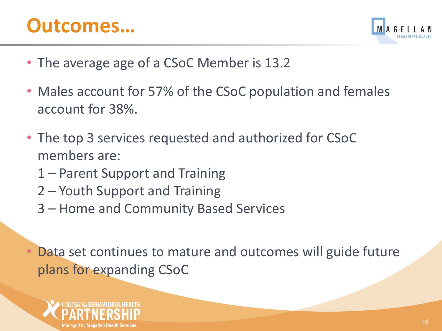### **Outcomes…**



- The average age of a CSoC Member is 13.2
- Males account for 57% of the CSoC population and females account for 38%.
- The top 3 services requested and authorized for CSoC members are:
	- 1 Parent Support and Training
	- 2 Youth Support and Training
	- 3 Home and Community Based Services

Data set continues to mature and outcomes will guide future plans for expanding CSoC

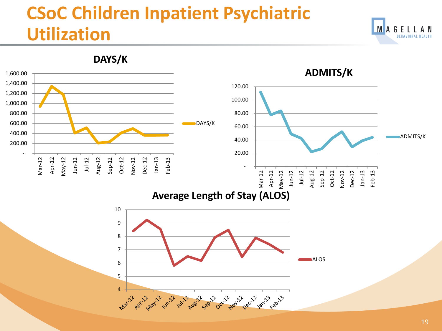## **CSoC Children Inpatient Psychiatric Utilization**



**MAGELLAN** 

**BEHAVIORAL HEALTH**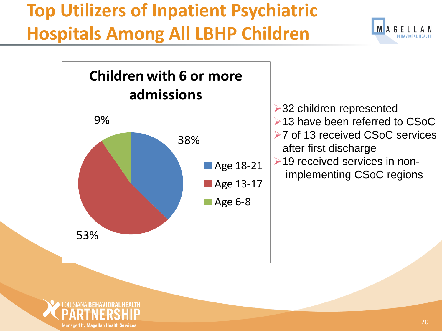## **Top Utilizers of Inpatient Psychiatric Hospitals Among All LBHP Children**





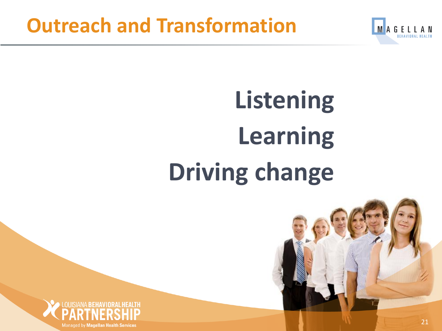

# **Listening Learning Driving change**



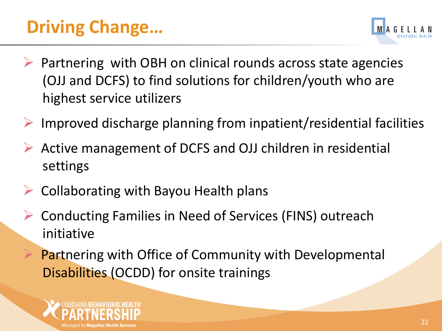## **Driving Change…**



- Partnering with OBH on clinical rounds across state agencies (OJJ and DCFS) to find solutions for children/youth who are highest service utilizers
- Improved discharge planning from inpatient/residential facilities
- Active management of DCFS and OJJ children in residential settings
- Collaborating with Bayou Health plans
- Conducting Families in Need of Services (FINS) outreach initiative
	- Partnering with Office of Community with Developmental Disabilities (OCDD) for onsite trainings